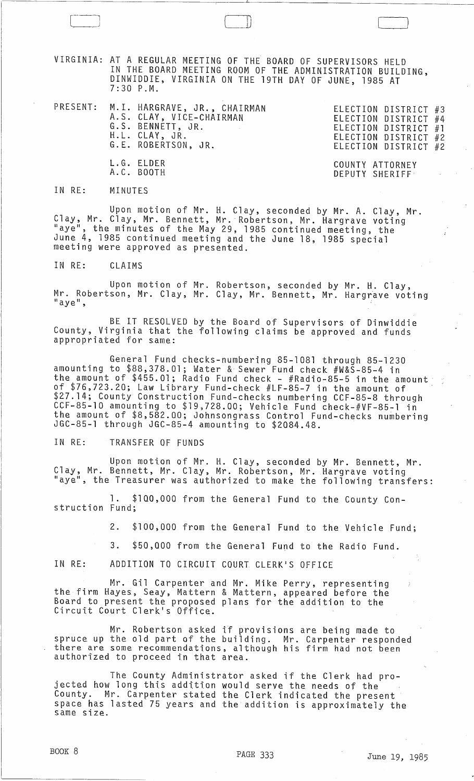VIRGINIA: AT A REGULAR MEETING OF THE BOARD OF SUPERVISORS HELD IN THE BOARD MEETING ROOM OF THE ADMINISTRATION BUILDING, DINWIDDIEs VIRGINIA ON THE 19TH DAY OF JUNE, 1985 AT 7:30 P.M.

 $[\,$ 

|  | PRESENT: M.I. HARGRAVE, JR., CHAIRMAN<br>A.S. CLAY, VICE-CHAIRMAN<br>G.S. BENNETT, JR.<br>H.L. CLAY, JR.<br>G.E. ROBERTSON, JR. | ELECTION DISTRICT #3<br>ELECTION DISTRICT #4<br>ELECTION DISTRICT #1<br>ELECTION DISTRICT #2<br>ELECTION DISTRICT #2 |  |
|--|---------------------------------------------------------------------------------------------------------------------------------|----------------------------------------------------------------------------------------------------------------------|--|
|  | L.G. ELDER<br>A.C. BOOTH                                                                                                        | COUNTY ATTORNEY<br>DEPUTY SHERIFF                                                                                    |  |

IN RE: MINUTES

Upon motion of Mr. H. Clay, seconded by Mr. A. Clay, Mr. Clay, Mr. Clay, Mr. Bennett, Mr. Robertson, Mr. Hargrave voting "aye", the minutes of the May 29, 1985 continued meeting, the June 4, 1985 continued meeting and the June 18, 1985 special meeting were approved as presented.

IN RE: CLAIMS

Upon motion of Mr. Robertson, seconded by Mr. H. Clay, Mr. Robertson, Mr. Clay, Mr. Clay, Mr. Bennett, Mr. Hargrave voting<br>"aye",

BE IT RESOLVED by the Board of Supervisors of Dinwiddie County, Virginia that the following claims be approved and funds appropriated for same:

General Fund checks-numbering 85-1081 through 85-1230 amounting to \$88,378.01; Water & Sewer Fund check #W&S-85-4 in the amount of \$455.01; Radio Fund check - #Radio-85-5 in the amount· of \$76,723.20; Law Library Fund-check #LF-85-7 in the amount of \$27.14; County Construction Fund-checks numbering CCF-85-8 through CCF-85-10 amounting to \$19,728.00; Vehicle Fund check-#VF-85-1 in the amount of \$8,582.00; Johnsongrass Control Fund-checks numbering JGC-85-1 through JGC-85-4 amounting to \$2084.48.

IN RE: TRANSFER OF FUNDS

Upon motion of Mr. H. Clay, seconded by Mr. Bennett, Mr. Clay, Mr. Bennett, Mr. Clay, Mr. Robertson, Mr. Hargrave voting "aye", the Treasurer was authorized to make the following transfers:

l. \$100,000 from the General Fund to the County Construction Fund;

2. \$100,000 from the General Fund to the Vehicle Fund;

3. \$50,000 from the General Fund to the Radio Fund.

IN RE: ADDITION TO CIRCUIT COURT CLERK'S OFFICE

Mr. Gil Carpenter and Mr. Mike Perry, representing the firm Hayes, Seay, Mattern & Mattern, appeared before the Board to present the proposed plans for the addition to the Circuit Court Clerk's Office.

Mr. Robertson asked if provisions are being made to spruce up the old part of the building. Mr. Carpenter responded<br>there are some recommendations, although his firm had not been there are some recommendations, although his firm had not been<br>authorized to proceed in that area.

The County Administrator asked if the Clerk had projected how long this addition would serve the needs of the County. Mr. Carpenter stated the Clerk indicated the present space has lasted 75 years and the addition is approximately the same stze.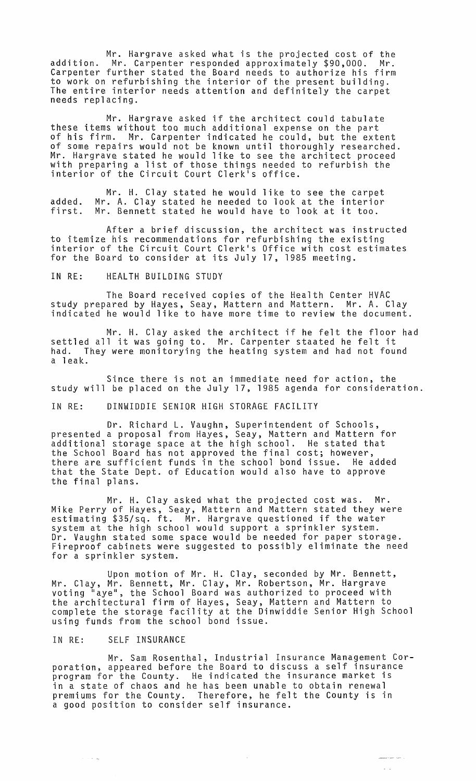Mr. Hargrave asked what is the projected cost of the addition. Mr. Carpenter responded approximately \$90,000. Mr. Carpenter further stated the Board needs to authorize his firm to work on refurbishing the interior of the present building. The entire interior needs attention and definitely the carpet needs replacing.

Mr. Hargrave asked if the architect could tabulate these items without too much additional expense on the part of his firm. Mr. Carpenter indicated he could, but the extent of some repairs would not be known until thoroughly researched. Mr. Hargrave stated he would like to see the architect proceed with preparing a list of those things needed to refurbish the interior of the Circuit Court Clerk<sup>1</sup>s office.

Mr. H. Clay stated he would like to see the carpet added. Mr. A. Clay stated he needed to look at the interior added: Mr. A. Clay stated he heeded to look at the interior<br>first. Mr. Bennett stated he would have to look at it too.

After a brief discussion, the architect was instructed to itemize his recommendations for refurbishing the existing<br>interior of the Circuit Court Clerk's Office with cost estimates for the Board to consider at its July 17, 1985 meeting.

## IN RE: HEALTH BUILDING STUDY

The Board received copies of the Health Center HVAC study prepared by Hayes, Seay, Mattern and Mattern. Mr. A. Clay indicated he would like to have more time to review the document.

Mr. H. Clay asked the architect if he felt the floor had settled all it was going to. Mr. Carpenter staated he felt it had. They were monitorying the heating system and had not found a leak.

Since there is not an immediate need for action, the study will be placed on the July 17, 1985 agenda for consideration.

IN RE: DINWIDDIE SENIOR HIGH STORAGE FACILITY

Dr. Richard L. Vaughn, Superintendent of Schools, presented a proposal from Hayes, Seay, Mattern and Mattern for additional storage space at the high school. He stated that the School Board has nat approved the final cost; however, there are sufficient funds in the school bond issue. He added that the State Dept. of Education would also have to approve the final plans.

Mr. H. Clay asked what the projected cost was. Mr. Mike Perry of Hayes, Seay, Mattern and Mattern stated they were estimating \$35/sq. ft. Mr. Hargrave questioned if the water system at the high school would support a sprinkler system. Dr. Vaughn stated some space would be needed for paper storage. Fireproof cabinets were suggested to possibly eliminate the need for a sprinkler system.

Upon motion of Mr. H. Clay, seconded by Mr. Bennett, Mr. Clay, Mr. Bennett, Mr. Clay, Mr. Robertson, Mr. Hargrave voting "aye", the School Board was authorized to proceed with the architectural firm of Hayes, Seay, Mattern and Mattern to complete the storage facility at the Dinwiddie Senior High School using funds from the school bond issue.

## IN RE: SELF INSURANCE

 $\alpha$  ,  $\alpha$  ,  $\alpha$ 

Mr. Sam Rosenthal, Industrial Insurance Management Corporation, appeared before the Board to discuss a self insurance program for the County. He indicated the insurance market is in a state of chaos and he has been unable to obtain renewal premiums for the County. Therefore, he felt the County is in a good position to consider self insurance.

 $\bar{\mathcal{A}}$ 

 $\sim$   $\sim$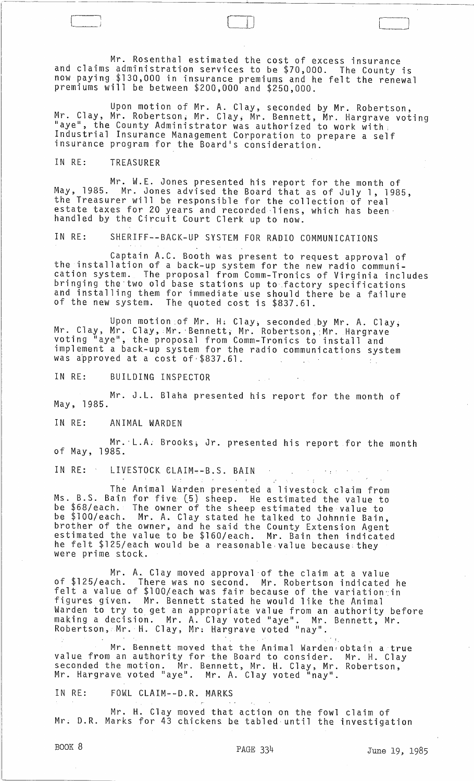Mr. Rosenthal estimated the cost of excess insurance and claims administration services to be \$70,000. The County is now paying \$130,000 in insurance premiums and he felt the renewal premiums will be between \$200,000 and \$250,000.

 $\Box$ 

Upon motion of Mr. A. Clay, seconded by Mr. Robertson, Mr. Clay, Mr. Robertson; Mr. Clay, Mr'. Bennett, Mr. Hargrave voting "aye", the County Administrator was authorized to work with, Industrial Insurance Management Corporation to prepare a self insurance program for the Board's consideration.

## IN RE: TREASURER

~------

Mr. W.E. Jones presented his report for the month of May, 1985. Mr. Jones advised the Board that as of July 1, 1985, the Treasurer will be responsible for the collection of real estate taxes for 20 years and recorded -liens, which has been· handled by the Circuit Court Clerk up to now.

IN RE: SHERIFF--BACK-UP SYSTEM FOR RADIO COMMUNICATIONS

Captain A.C. Booth was present to request approval of the installation of a back-up system for the new radio communication system. The proposal from Comm-Tronics of Virginia includes bringing the two old base stations up to factory specifications and installing them for immediate use should there be a failure<br>of the new system. The quoted cost is \$837.61. The quoted cost is \$837.61.

Upon motion .of Mr. Hl Clay, seconded by Mr. A. Clay; Mr. Clay, Mr. Clay, Mr. Bennett, Mr. Robertson, Mr. Hargrave voting "aye", the proposal from Comm-Tronics to install and implement a back-up system for the radio communications system was approved at a cost of \$837.61.

IN RE: BUILDING INSPECTOR

Mr. J.L. Blaha presented his report for the month of May, 1985.

IN RE: ANIMAL WARDEN

Mr. ·L.A; Brooks; Jr. presented his report for the month of May, 1985.

IN RE: LIVESTOCK CLAIM--B.S. BAIN  $\Delta \sim 10^{11}$ stered in the sea

The Animal Warden presented a livestock claim from Ms. B.S. Bain for five (5) sheep. He estimated the value to be \$68/each. The owner of the sheep estimated the value to be \$lOO/each. Mr. A. Clay stated he talked to Johnnie Bain, brother of the owner, and he said the County Extension Agent estimated the value to be \$160/each. Mr. Bain then indicated he felt \$125/each would be a reasonable,value because:they were prime stock.

Mr. A. Clay moved approval of the claim at a value of \$125/each. There was no second. Mr. Robertson indicated he felt a value of \$lOO/each was fair because of the variation~in figures given. Mr. Bennett stated he would like the Animal Warden to try to get an appropriate value from an authority before making a decision. Mr. A. Clay voted "aye". Mr. Bennett, Mr. Robertson, Mr.' H. Clay, Mr: Hargrave voted "nay" .

Mr. Bennett moved that the Animal Warden obtain a true value from an authority for the Board to consider. Mr. H. Clay seconded the motion. Mr. Bennett, Mr. H. Clay, Mr. Robertson, Mr. Hargrave voted "aye". Mr. A. Clay voted "nay".

IN RE: FOWL CLAIM--D.R. MARKS

Mr. H. Clay moved that action on the fowl claim of Mr; D.R. Marks for 43 chickens be tabled until the investigation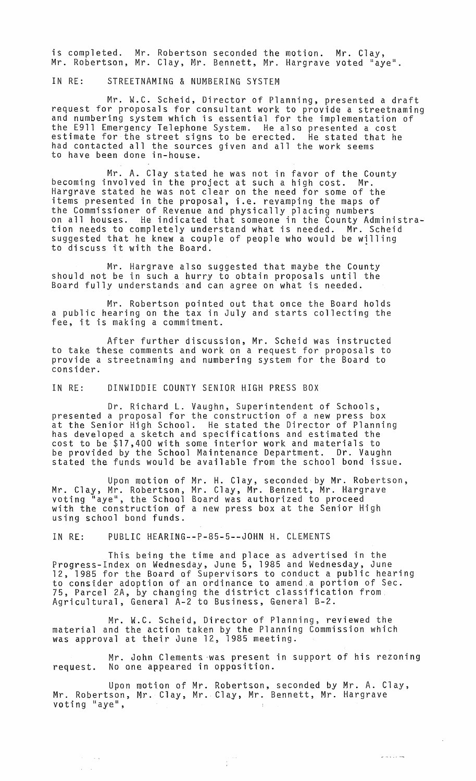is completed. Mr. Robertson seconded the motion. Mr. Clay, Mr. Robertson, Mr. Clay, Mr. Bennett, Mr. Hargrave voted "aye".

IN RE: STREETNAMING & NUMBERING SYSTEM

Mr. W.C. Scheid, Director of Planning, presented a draft request for proposals for consultant work to provide a streetnaming and numbering system which is essential for the implementation of the E911 Emergency Telephone System. He also presented a cost estimate for the street signs to be erected. He stated that he had contacted all the sources given and all the work seems to have been done in-house.

Mr. A. Clay stated he was not in favor of the County<br>becoming involved in the project at such a high cost. Mr. Hargrave stated he was not clear on the need for some of the items presented in the proposal, i.e. revamping the maps of the Commissioner of Revenue and physically placing numbers on all houses. He indicated that someone in the County Administration needs to completely understand what is needed. Mr. Scheid suggested that he knew a couple of people who would be willing suggested that he knew a couple of people who would be wi<br>to discuss it with the Board.

Mr. Hargrave also suggested that maybe the County should not be in such a hurry to obtain proposals until the Board fully understands and can agree on what is needed.

Mr. Robertson pointed out that once the Board holds a public hearing on the tax in July and starts collecting the fee, it is making a commitment.

After further discussion, Mr. Scheid was instructed to take these comments and work on a request for proposals to provide a streetnaming and numbering system for the Board to consider.

IN RE: DINWIDDIE COUNTY SENIOR HIGH PRESS BOX

Dr. Richard L. Vaughn, Superintendent of Schools, presented a proposal for the construction of a new press box at the Senior High School. He stated the Director of Planning has developed a sketch and specifications and estimated the cost to be \$17,400 with some interior work and materials to be provided by the School Maintenance Department. Dr. Vaughn stated the funds would be available from the school bond issue.

Upon motion of Mr. H. Clay, seconded by Mr. Robertson, Mr. Clay, Mr. Robertson, Mr. Clay, Mr. Bennett, Mr. Hargrave voting "aye", the School Board was authorized to proceed with the construction of a new press box at the Senior High using school bond funds.

IN RE: PUBLIC HEARING--P-85-5--JOHN H. CLEMENTS

This being the time and place as advertised in the Progress-Index on Wednesday, June 5, 1985 and Wednesday, June 12, 1985 for the Board of Supervisors to conduct a public hearing to consider adoption of an ordinance to amend,a portion of Sec. 75, Parcel 2A, by changing the district classification from Agricultural, General A-2 to Business, General 8-2.

Mr. W.C. Scheid, Director of Planning, reviewed the material and the action taken by the Planning Commission which was approval at their June 12, 1985 meeting.

Mr. John Clements 'was present in support of his rezoning request. No one appeared in opposition.

Upon motion of Mr. Robertson, seconded by Mr. A. Clay, Mr. Robertson, Mr. Clay, Mr. Clay, Mr. Bennett, Mr. Hargrave<br>voting "aye",

 $\begin{bmatrix} 1 & 0 & 0 \\ 0 & 0 & 0 \\ 0 & 0 & 0 \end{bmatrix}$ 

 $\sim 10^{11}$  $\Delta \sim 10^4$ 

 $\omega$  is a signal set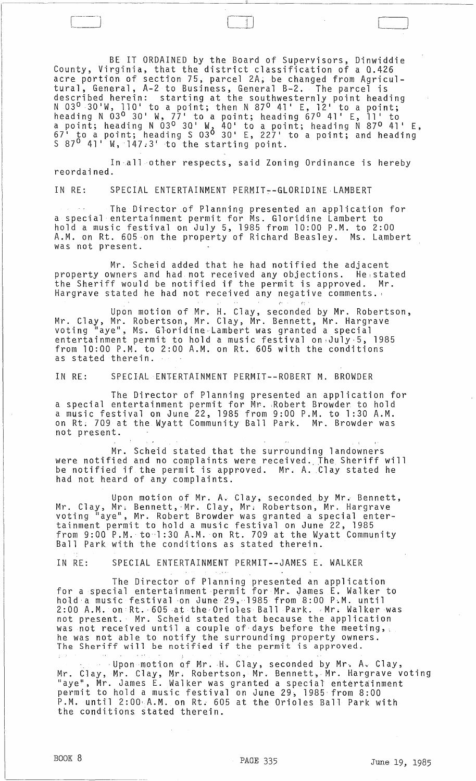BE IT ORDAINED by the Board of Supervisors, Dinwiddie County, Virginia, that the district classification of a 0.426 acre portion of section 75, parcel 2A; be changed from Agricultural, General, A-2 to Business, General B-2. The parcel is described herein: starting at the southwesternly point heading  $N$  03<sup>0</sup> 30 W, 110 to a point; then  $N$  87<sup>0</sup> 41 E, 12 to a point; heading  $N$  03<sup>0</sup> 30' W, 77' to a point; heading  $670$  41' E, 11' to a point; heading  $N$  03<sup>0</sup> 30' W<sub>2</sub> 40' to a point; heading N 87<sup>0</sup> 41' E,  $67<sup>1</sup>$  to a point; heading S  $03<sup>0</sup>$  30 E, 227 to a point; and heading  $S$  87<sup>0</sup> 41' W, 147.3' to the starting point.

--~~-----------~-----------"-------------~-----------

 $\Box$ 

In-all other respects, said Zoning Ordinance is hereby reordained.

IN RE: SPECIAL ENTERTAINMENT PERMIT~-GLQRIDINELAMBERT

The Director .of Planning presented an application for a special entertainment permit for Ms. Glortdine Lambert to hold a music festival on July 5, 1985 from 10:00 P.M. to 2:00 A.M. on Rt. 605 ·on the property of Richard Beasley. Ms. Lambert was not present.

Mr. Scheid added that he had notified the adjacent property owners and had not received any objections. He,stated the Sheriff would be notified if the permit is approved. Mr. Hargrave stated he had not received any negative comments. ,

Upon motion of Mr. H. Clay, seconded by Mr. Robertson, Mr. Clay, Mr. Robertson, Mr. Clay, Mr. Bennett, Mr. Hargrave voting "aye", Ms. Gloridine Lambert was granted a special entertainment permit to hold a music festival on July 5, 1985 from 10:00 P.M. to 2:00 A.M. on Rt. 605 with the conditions as stated therein.

IN RE: SPECIAL ENTERTAINMENT PERMIT--ROBERT M. BROWDER

The Director of Planning presented an application for a special entertainment permit for Mr. ,Robert BrQwder to hold a music festival on June 22, 1985 from 9:00 P.M. to 1:30 A.M. on Rt; 7Q9 at the Wyatt Community Ball Park. Mr. Browder was not present.

Mr. Scheid stated that the surrounding landowners were notified and no complaints were received. The Sheriff will be notified if the permit is approved. Mr. A. Clay stated he had not heard of any complaints.

Upon motion of Mr. A~ Clay, seconded by Mr~ Bennett, Mr. Clay, Mr; Bennett,-Mr. Clay, Mr; Robertson, Mr. Hargrave voting "aye", Mr. Robert Browder was granted a special entertainment permit to hold a music festival on June 22, 1985 from 9:00 P.M. to·l :30 A.M. on Rt. 709 at the Wyatt Community Ball Park with the conditions as stated therein.

IN RE: SPECIAL ENTERTAINMENT PERMIT--JAMES E. WALKER

The Director of Planning presented an application for a special entertainment permit for Mr. James E. Walker to hold a music festival on June 29, 1985 from 8:00 P.M. until 2:00 A.M. on Rt. 605 at the Orioles Ball Park. Mr. Walker was not present.' Mr. Scheid stated that because the application was not received until a couple of days before the meeting, he was not able to notify the surrounding property owners. ne was not able to notify the surrounding property owne<br>The Sheriff will be notified if the permit is approved.

·Uponmotion of Mr. ·H~ Clay, seconded by Mr~ A. Clay, Mr. Clay, Mr. Clay, Mr, Robertson, Mr. Bennett,. Mr. Hargrave voting "aye", Mr. James E. Walker was granted a special' entertainment permit to hold a music festival on June 29, 1985 from 8:00 P.M. until 2:00 A.M. on Rt. 605 at the Orioles Ball Park with the conditions stated therein.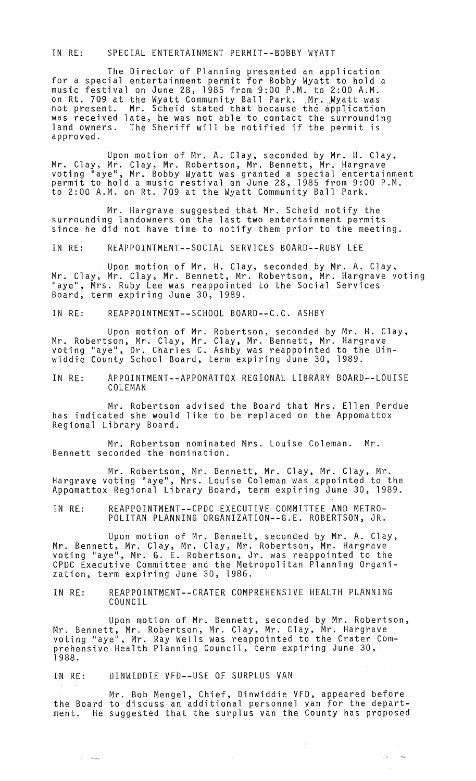## IN RE: SPECIAL ENTERTAINMENT PERMIT--BOBBY WYATT

The Director of Planning presented an application for a special entertainment permit for Bobby Wyatt to hold a music festival on June 28, 1985 from 9:00 P.M. to 2:00 A.M. music festival on June 28, 1985 from 9:00 P.M. to 2:00 A.M.<br>on Rt. 709 at the Wyatt Community Ball Park. Mr. Wyatt was<br>not present. Mr. Scheid stated that because the application was received late, he was not able to contact the surrounding land owners. The Sheriff will be notified if the permit is approved.

Upon motion of Mr. A. Clay, seconded by Mr. H. Clay, Mr. Clay, Mr. Clay, Mr. Robertson, Mr. Bennett, Mr. Hargrave voti ng "aye", Mr. Bobby Wyatt was granted a special entertainment permit to hold a music restival on June 28, 1985 from 9:00 P.M. to 2:00 A.M. on Rt. 709 at the Wyatt Community Ball Park.

Mr. Hargrave suggested that Mr. Scheid notify the surrounding landowners on the last two entertainment permits since he did not have time to notify them prior to the meeting.

IN RE: REAPPOINTMENT--SOCIAL SERVICES BOARD--RUBY LEE

Upon motion of Mr. H. Clay, seconded by Mr. A. Clay, Mr; Clay, Mr. Clay, Mr. Bennett, Mr. Robertson, Mr. Hargrave voting "aye", Mrs. Ruby Lee was reappointed to the Social Services Board, term expiring June 30, 1989.

IN RE: REAPPOINTMENT--SCHOOL BOARD--C.C. ASHBY

Upon motion of Mr. Robertson, seconded by Mr. H. Clay, Mr. Robertson, Mr. Clay, Mr. Clay, Mr. Bennett, Mr. Hargrave<br>voting "aye", Dr. Charles C. Ashby was reappointed to the Dinwiddie County School Board, term expiring June 30, 1989.

IN RE: APPOINTMENT--APPOMATTOX REGIONAL LIBRARY BOARD--LOUISE COLEMAN

Mr. Robertson advised the Board that Mrs. Ellen Perdue has indicated she would like to be replaced on the Appomattox Regional Library Board.

Mr. Robertson nominated Mrs. Louise Coleman. Mr. Bennett seconded the nomination.

Mr. Robertson, Mr. Bennett, Mr. Clay, Mr. Clay, Mr. Hargrave voting "aye", Mrs. Louise Coleman was appointed to the Appomattox Regional Library Board, term expiring June 30, 1989.

IN RE: REAPPOINTMENT--CPDC EXECUTIVE COMMITTEE AND METRO-POLITAN PLANNING ORGANIZATION--G.E. ROBERTSON, JR.

Upon motion of Mr. Bennett, seconded by Mr. A. Clay, Mr. Bennett, Mr. Clay, Mr. Clay, Mr. Robertson, Mr. Hargrave we be meased with every with every more conservating with the grand of the voting "aye", Mr. G. E. Robertson, Jr. was reappointed to the CPDC Executive Committee and the Metropolitan Planning Organization, term expiring June 30, 1986.

IN RE: REAPPOINTMENT--CRATER COMPREHENSIVE HEALTH PLANNING COUNCIL

Upon motion of Mr. Bennett, seconded by Mr. Robertson, Mr. Bennett, Mr. Robertson, Mr. Clay, Mr. Clay, Mr. Hargrave voting "aye", Mr. Ray Wells was reappointed to the Crater Comprehensive Health Planning Council, term expiring June 30, 1988.

IN RE: DINWIDDIE VFD--USE OF SURPLUS VAN

 $\omega_{\rm{max}}$  and  $\omega_{\rm{max}}$ 

Mr. Bob Mengel, Chief, Dinwiddie VFD, appeared before the Board to discuss, an additional personnel van for the department. He suggested that the surplus van the County has proposed

 $\alpha$  and  $\alpha$  . And

 $\bar{\tau}$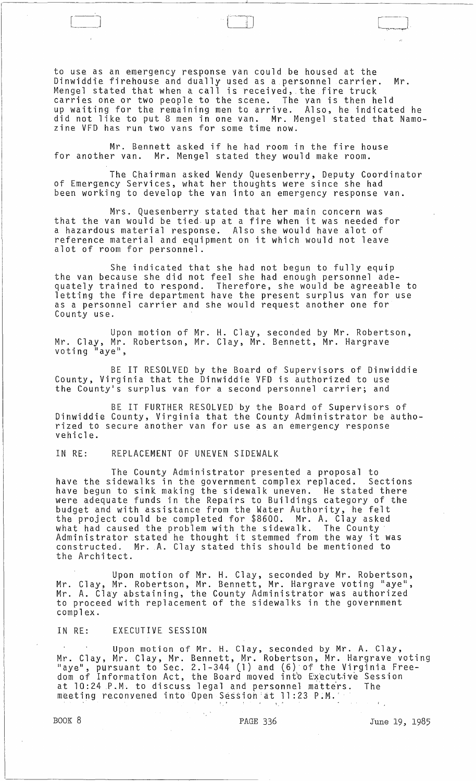to use as an emergency response van could be housed at the Dinwiddie firehouse and dually used as a personnel carrier. Mr. Mengel stated that when a call is received, the fire truck carries one or two people to the scene. The van is then held up waiting for the remaining men to arrive. Also, he indicated he did not like to put 8 men 1n one van. Mr. Mengel stated that Namozine VFD has run two vans for some time now.

Mr. Bennett asked if he had room in the fire house for another van. Mr. Mengel stated they would make room.

The Chairman asked Wendy Quesenberry, Deputy Coordinator of Emergency Services, what her thoughts were since she had been working to develop the van into an emergency response van.

Mrs. Quesenberry stated that her main concern was that the van would be tied up at a fire when it was needed for a hazardous material response. Also she would have alot of reference material and equipment on it which would not leave alot of room for personnel.

She indicated that she had not begun to fully equip the van because she did not feel she had enough personnel adequately trained to respond. Therefore, she would be agreeable to letting the fire department have the present surplus van for use as a personnel carrier and she would request another one for County use.

Upon motion of Mr. H. Clay, seconded by Mr. Robertson, Mr. Clay, Mr. Robertson, Mr. Clay, Mr. Bennett, Mr. Hargrave<br>voting "aye",

BE IT RESOLVED by the Board of Supervisors of Dinwiddie County, Virginia that the Dinwiddie VFD is authorized to use the County's surplus van for a second personnel carrier; and

BE IT FURTHER RESOLVED by the Board of Supervisors of Dinwiddie County, Virginia that the County Administrator be authorized to secure another van for use as an emergency response vehicle.

IN RE: REPLACEMENT OF UNEVEN SIDEWALK

The County Administrator presented a proposal to have the sidewalks in the government complex replaced. Sections have begun to sink making the sidewalk uneven. He stated there were adequate funds in the Repairs to Buildings category of the budget and with assistance from the Water Authority, he felt the project could be completed for \$8600. Mr. A. Clay asked what had caused the problem with the sidewalk. The County Administrator stated he thought it stemmed from the way it was constructed. Mr. A. Clay stated this should be mentioned to the Architect.

Upon motion of Mr. H. Clay, seconded by Mr. Robertson, Mr. Clay, Mr. Robertson, Mr. Bennett, Mr. Hargrave voting "aye", Mr. A. Clay abstaining, the County Administrator was authorized to proceed with replacement of the sidewalks in the government complex.

IN RE: EXECUTIVE SESSION

Upon motion of Mr. H. Clay, seconded by Mr. A. Clay, Mr. Clay, Mr. Clay, Mr. Bennett, Mr. Robertson, Mr. Hargrave voting lift oray, M. Stay, M. Sammese, M. Robertson, M. Rangell Freedom of Information Act, the Board moved into Executive Session a more in the matrich was, the board mored theo excedence ses meeting reconvened into Open Session at 11:23 P.M.

 $\begin{picture}(20,20) \put(0,0){\line(1,0){10}} \put(15,0){\line(1,0){10}} \put(15,0){\line(1,0){10}} \put(15,0){\line(1,0){10}} \put(15,0){\line(1,0){10}} \put(15,0){\line(1,0){10}} \put(15,0){\line(1,0){10}} \put(15,0){\line(1,0){10}} \put(15,0){\line(1,0){10}} \put(15,0){\line(1,0){10}} \put(15,0){\line(1,0){10}} \put(15,0){\line(1$